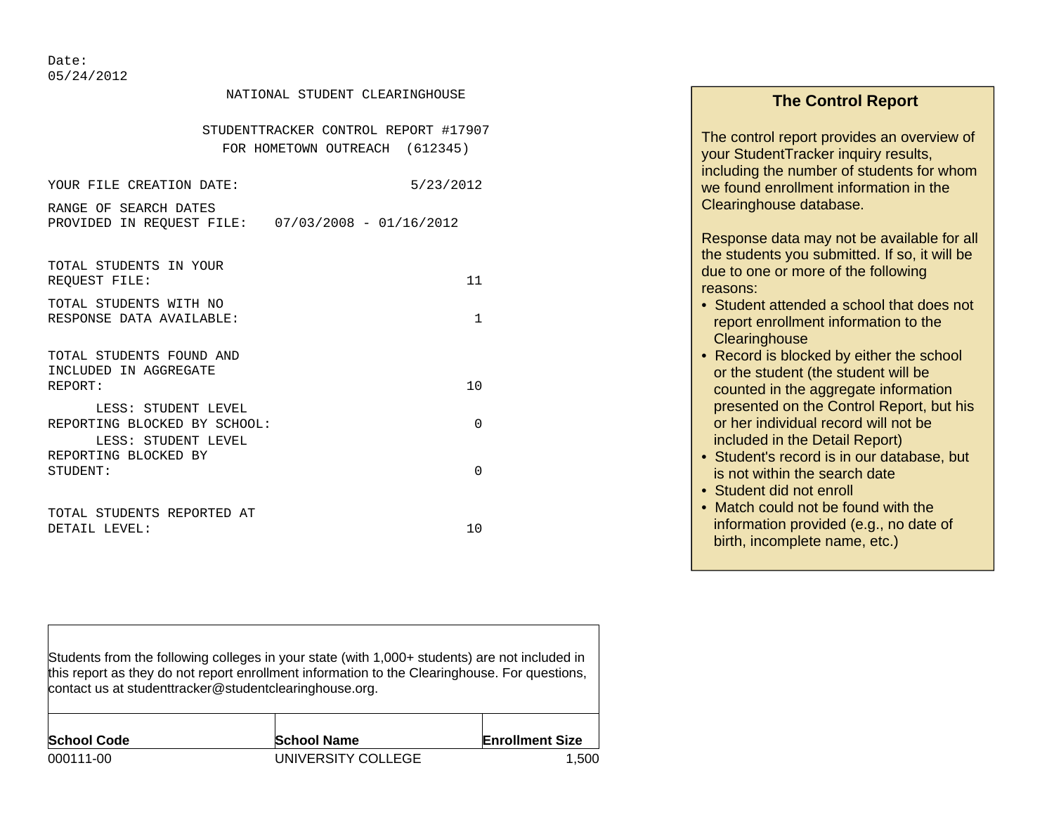Date: 05/24/2012

 $\Gamma$ 

| NATIONAL STUDENT CLEARINGHOUSE                      | <b>The Control Report</b>                  |                                                                                             |
|-----------------------------------------------------|--------------------------------------------|---------------------------------------------------------------------------------------------|
| STUDENTTRACKER CONTROL REPORT #17907                | The control report provides an overview of |                                                                                             |
|                                                     | FOR HOMETOWN OUTREACH (612345)             | your StudentTracker inquiry results,<br>including the number of students for whom           |
| YOUR FILE CREATION DATE:                            | 5/23/2012                                  | we found enrollment information in the                                                      |
| RANGE OF SEARCH DATES<br>PROVIDED IN REQUEST FILE:  | $07/03/2008 - 01/16/2012$                  | Clearinghouse database.                                                                     |
|                                                     |                                            | Response data may not be available for all<br>the students you submitted. If so, it will be |
| TOTAL STUDENTS IN YOUR<br>REOUEST FILE:             | 11                                         | due to one or more of the following<br>reasons:                                             |
| TOTAL STUDENTS WITH NO<br>RESPONSE DATA AVAILABLE:  | 1                                          | • Student attended a school that does not                                                   |
|                                                     |                                            | report enrollment information to the<br>Clearinghouse                                       |
| TOTAL STUDENTS FOUND AND<br>INCLUDED IN AGGREGATE   |                                            | • Record is blocked by either the school<br>or the student (the student will be             |
| REPORT:                                             | 10                                         | counted in the aggregate information                                                        |
| LESS: STUDENT LEVEL<br>REPORTING BLOCKED BY SCHOOL: | $\mathbf 0$                                | presented on the Control Report, but his<br>or her individual record will not be            |
| LESS: STUDENT LEVEL<br>REPORTING BLOCKED BY         |                                            | included in the Detail Report)                                                              |
| STUDENT:                                            | $\mathbf 0$                                | • Student's record is in our database, but<br>is not within the search date                 |
|                                                     |                                            | • Student did not enroll<br>• Match could not be found with the                             |
| TOTAL STUDENTS REPORTED AT<br>DETAIL LEVEL:         | 10                                         | information provided (e.g., no date of                                                      |
|                                                     |                                            | birth, incomplete name, etc.)                                                               |
|                                                     |                                            |                                                                                             |

| Students from the following colleges in your state (with 1,000+ students) are not included in<br>this report as they do not report enrollment information to the Clearinghouse. For questions,<br>contact us at studenttracker@studentclearinghouse.org. |                    |                        |  |  |  |  |  |  |  |
|----------------------------------------------------------------------------------------------------------------------------------------------------------------------------------------------------------------------------------------------------------|--------------------|------------------------|--|--|--|--|--|--|--|
| <b>School Code</b>                                                                                                                                                                                                                                       | <b>School Name</b> | <b>Enrollment Size</b> |  |  |  |  |  |  |  |
| 000111-00                                                                                                                                                                                                                                                | UNIVERSITY COLLEGE | 1.500                  |  |  |  |  |  |  |  |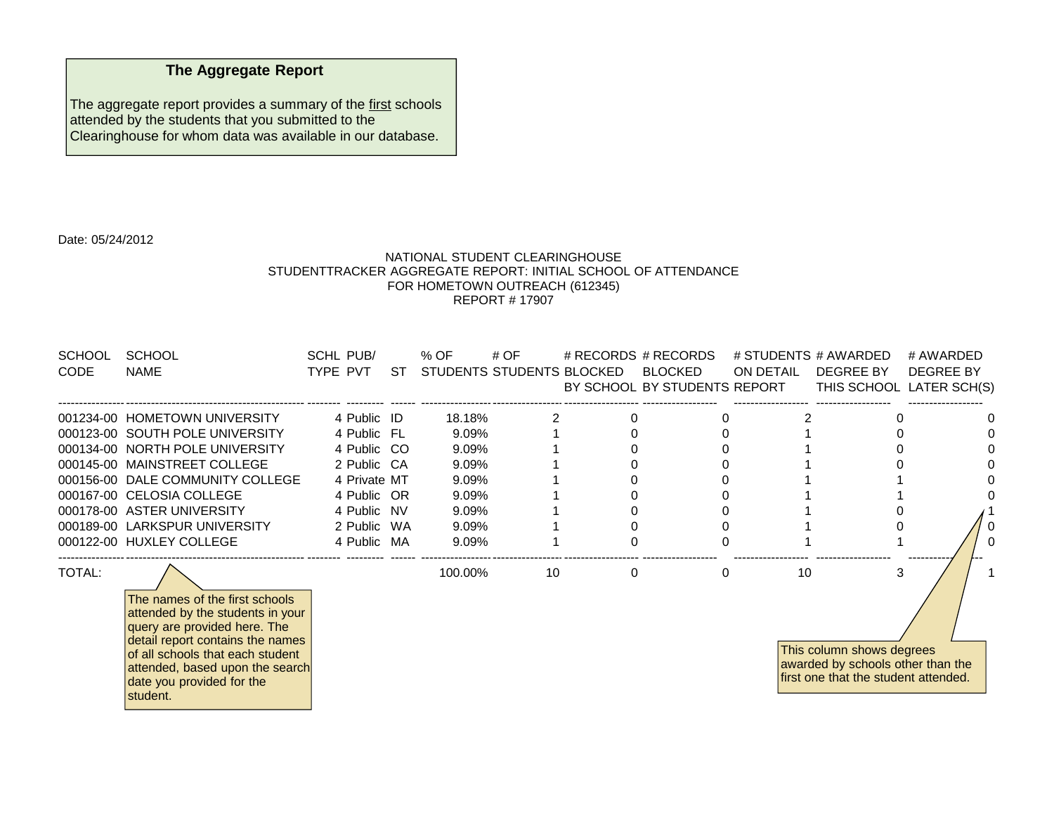## **The Aggregate Report**

The aggregate report provides a summary of the first schools attended by the students that you submitted to the Clearinghouse for whom data was available in our database.

Date: 05/24/2012

## NATIONAL STUDENT CLEARINGHOUSESTUDENTTRACKER AGGREGATE REPORT: INITIAL SCHOOL OF ATTENDANCE FOR HOMETOWN OUTREACH (612345) REPORT # 17907

| SCHOOL        | <b>SCHOOL</b>                    | <b>SCHL PUB/</b> |    | % OF     | # OF                      | # RECORDS # RECORDS          |           | # STUDENTS # AWARDED | # AWARDED                |
|---------------|----------------------------------|------------------|----|----------|---------------------------|------------------------------|-----------|----------------------|--------------------------|
| <b>CODE</b>   | <b>NAME</b>                      | TYPE PVT         | ST |          | STUDENTS STUDENTS BLOCKED | BLOCKED                      | ON DETAIL | DEGREE BY            | DEGREE BY                |
|               |                                  |                  |    |          |                           | BY SCHOOL BY STUDENTS REPORT |           |                      | THIS SCHOOL LATER SCH(S) |
|               | 001234-00 HOMETOWN UNIVERSITY    | 4 Public ID      |    | 18.18%   |                           |                              |           |                      |                          |
|               | 000123-00 SOUTH POLE UNIVERSITY  | 4 Public FL      |    | $9.09\%$ |                           |                              |           |                      |                          |
|               | 000134-00 NORTH POLE UNIVERSITY  | 4 Public CO      |    | 9.09%    |                           |                              |           |                      |                          |
|               | 000145-00 MAINSTREET COLLEGE     | 2 Public CA      |    | 9.09%    |                           |                              |           |                      |                          |
|               | 000156-00 DALE COMMUNITY COLLEGE | 4 Private MT     |    | 9.09%    |                           |                              |           |                      |                          |
|               | 000167-00 CELOSIA COLLEGE        | 4 Public OR      |    | 9.09%    |                           |                              |           |                      |                          |
|               | 000178-00 ASTER UNIVERSITY       | 4 Public NV      |    | 9.09%    |                           |                              |           |                      |                          |
|               | 000189-00 LARKSPUR UNIVERSITY    | 2 Public WA      |    | 9.09%    |                           |                              |           |                      |                          |
|               | 000122-00 HUXLEY COLLEGE         | 4 Public MA      |    | 9.09%    |                           |                              |           |                      |                          |
| <b>TOTAL:</b> |                                  |                  |    | 100.00%  |                           |                              |           |                      |                          |

The names of the first schools attended by the students in your query are provided here. The detail report contains the names of all schools that each student attended, based upon the search date you provided for the student.

This column shows degrees awarded by schools other than the first one that the student attended.